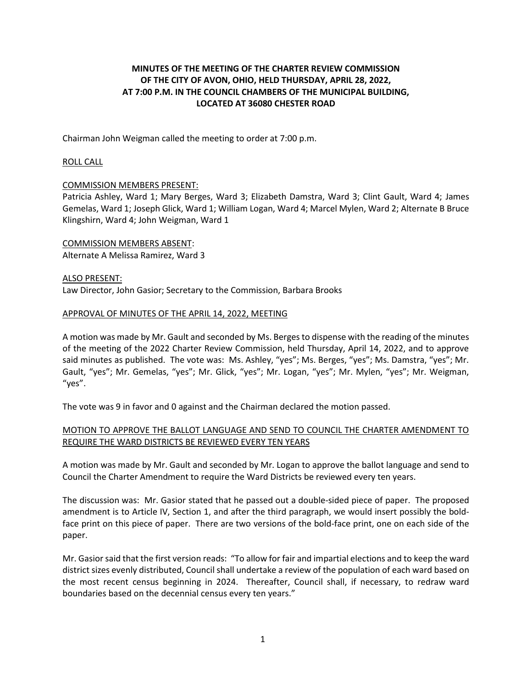# **MINUTES OF THE MEETING OF THE CHARTER REVIEW COMMISSION OF THE CITY OF AVON, OHIO, HELD THURSDAY, APRIL 28, 2022, AT 7:00 P.M. IN THE COUNCIL CHAMBERS OF THE MUNICIPAL BUILDING, LOCATED AT 36080 CHESTER ROAD**

Chairman John Weigman called the meeting to order at 7:00 p.m.

## ROLL CALL

### COMMISSION MEMBERS PRESENT:

Patricia Ashley, Ward 1; Mary Berges, Ward 3; Elizabeth Damstra, Ward 3; Clint Gault, Ward 4; James Gemelas, Ward 1; Joseph Glick, Ward 1; William Logan, Ward 4; Marcel Mylen, Ward 2; Alternate B Bruce Klingshirn, Ward 4; John Weigman, Ward 1

COMMISSION MEMBERS ABSENT: Alternate A Melissa Ramirez, Ward 3

ALSO PRESENT: Law Director, John Gasior; Secretary to the Commission, Barbara Brooks

#### APPROVAL OF MINUTES OF THE APRIL 14, 2022, MEETING

A motion was made by Mr. Gault and seconded by Ms. Berges to dispense with the reading of the minutes of the meeting of the 2022 Charter Review Commission, held Thursday, April 14, 2022, and to approve said minutes as published. The vote was: Ms. Ashley, "yes"; Ms. Berges, "yes"; Ms. Damstra, "yes"; Mr. Gault, "yes"; Mr. Gemelas, "yes"; Mr. Glick, "yes"; Mr. Logan, "yes"; Mr. Mylen, "yes"; Mr. Weigman, "yes".

The vote was 9 in favor and 0 against and the Chairman declared the motion passed.

## MOTION TO APPROVE THE BALLOT LANGUAGE AND SEND TO COUNCIL THE CHARTER AMENDMENT TO REQUIRE THE WARD DISTRICTS BE REVIEWED EVERY TEN YEARS

A motion was made by Mr. Gault and seconded by Mr. Logan to approve the ballot language and send to Council the Charter Amendment to require the Ward Districts be reviewed every ten years.

The discussion was: Mr. Gasior stated that he passed out a double-sided piece of paper. The proposed amendment is to Article IV, Section 1, and after the third paragraph, we would insert possibly the boldface print on this piece of paper. There are two versions of the bold-face print, one on each side of the paper.

Mr. Gasior said that the first version reads: "To allow for fair and impartial elections and to keep the ward district sizes evenly distributed, Council shall undertake a review of the population of each ward based on the most recent census beginning in 2024. Thereafter, Council shall, if necessary, to redraw ward boundaries based on the decennial census every ten years."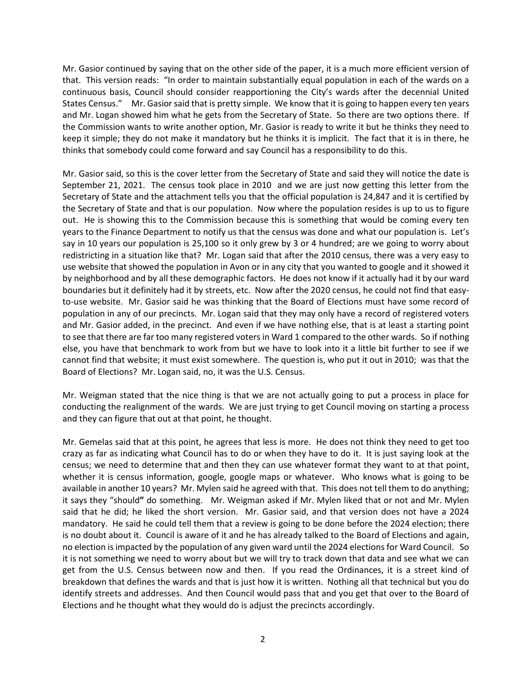Mr. Gasior continued by saying that on the other side of the paper, it is a much more efficient version of that. This version reads: "In order to maintain substantially equal population in each of the wards on a continuous basis, Council should consider reapportioning the City's wards after the decennial United States Census." Mr. Gasior said that is pretty simple. We know that it is going to happen every ten years and Mr. Logan showed him what he gets from the Secretary of State. So there are two options there. If the Commission wants to write another option, Mr. Gasior is ready to write it but he thinks they need to keep it simple; they do not make it mandatory but he thinks it is implicit. The fact that it is in there, he thinks that somebody could come forward and say Council has a responsibility to do this.

Mr. Gasior said, so this is the cover letter from the Secretary of State and said they will notice the date is September 21, 2021. The census took place in 2010 and we are just now getting this letter from the Secretary of State and the attachment tells you that the official population is 24,847 and it is certified by the Secretary of State and that is our population. Now where the population resides is up to us to figure out. He is showing this to the Commission because this is something that would be coming every ten years to the Finance Department to notify us that the census was done and what our population is. Let's say in 10 years our population is 25,100 so it only grew by 3 or 4 hundred; are we going to worry about redistricting in a situation like that? Mr. Logan said that after the 2010 census, there was a very easy to use website that showed the population in Avon or in any city that you wanted to google and it showed it by neighborhood and by all these demographic factors. He does not know if it actually had it by our ward boundaries but it definitely had it by streets, etc. Now after the 2020 census, he could not find that easyto-use website. Mr. Gasior said he was thinking that the Board of Elections must have some record of population in any of our precincts. Mr. Logan said that they may only have a record of registered voters and Mr. Gasior added, in the precinct. And even if we have nothing else, that is at least a starting point to see that there are far too many registered voters in Ward 1 compared to the other wards. So if nothing else, you have that benchmark to work from but we have to look into it a little bit further to see if we cannot find that website; it must exist somewhere. The question is, who put it out in 2010; was that the Board of Elections? Mr. Logan said, no, it was the U.S. Census.

Mr. Weigman stated that the nice thing is that we are not actually going to put a process in place for conducting the realignment of the wards. We are just trying to get Council moving on starting a process and they can figure that out at that point, he thought.

Mr. Gemelas said that at this point, he agrees that less is more. He does not think they need to get too crazy as far as indicating what Council has to do or when they have to do it. It is just saying look at the census; we need to determine that and then they can use whatever format they want to at that point, whether it is census information, google, google maps or whatever. Who knows what is going to be available in another 10 years? Mr. Mylen said he agreed with that. This does not tell them to do anything; it says they "should**"** do something. Mr. Weigman asked if Mr. Mylen liked that or not and Mr. Mylen said that he did; he liked the short version. Mr. Gasior said, and that version does not have a 2024 mandatory. He said he could tell them that a review is going to be done before the 2024 election; there is no doubt about it. Council is aware of it and he has already talked to the Board of Elections and again, no election is impacted by the population of any given ward until the 2024 elections for Ward Council. So it is not something we need to worry about but we will try to track down that data and see what we can get from the U.S. Census between now and then. If you read the Ordinances, it is a street kind of breakdown that defines the wards and that is just how it is written. Nothing all that technical but you do identify streets and addresses. And then Council would pass that and you get that over to the Board of Elections and he thought what they would do is adjust the precincts accordingly.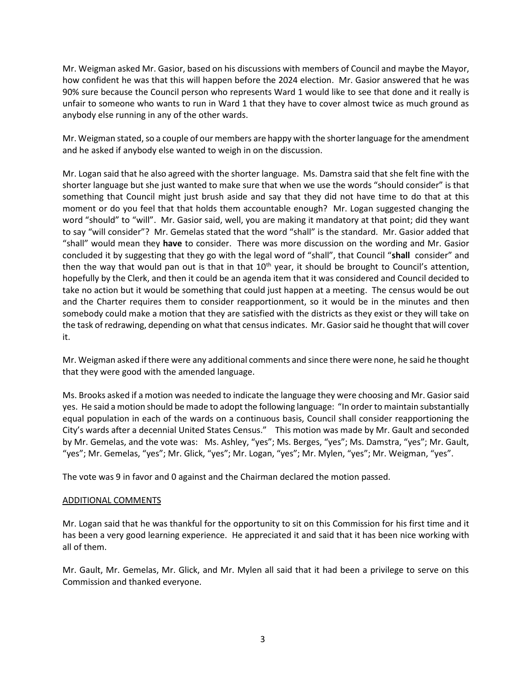Mr. Weigman asked Mr. Gasior, based on his discussions with members of Council and maybe the Mayor, how confident he was that this will happen before the 2024 election. Mr. Gasior answered that he was 90% sure because the Council person who represents Ward 1 would like to see that done and it really is unfair to someone who wants to run in Ward 1 that they have to cover almost twice as much ground as anybody else running in any of the other wards.

Mr. Weigman stated, so a couple of our members are happy with the shorter language for the amendment and he asked if anybody else wanted to weigh in on the discussion.

Mr. Logan said that he also agreed with the shorter language. Ms. Damstra said that she felt fine with the shorter language but she just wanted to make sure that when we use the words "should consider" is that something that Council might just brush aside and say that they did not have time to do that at this moment or do you feel that that holds them accountable enough? Mr. Logan suggested changing the word "should" to "will". Mr. Gasior said, well, you are making it mandatory at that point; did they want to say "will consider"? Mr. Gemelas stated that the word "shall" is the standard. Mr. Gasior added that "shall" would mean they **have** to consider. There was more discussion on the wording and Mr. Gasior concluded it by suggesting that they go with the legal word of "shall", that Council "**shall** consider" and then the way that would pan out is that in that  $10^{th}$  year, it should be brought to Council's attention, hopefully by the Clerk, and then it could be an agenda item that it was considered and Council decided to take no action but it would be something that could just happen at a meeting. The census would be out and the Charter requires them to consider reapportionment, so it would be in the minutes and then somebody could make a motion that they are satisfied with the districts as they exist or they will take on the task of redrawing, depending on what that census indicates. Mr. Gasior said he thought that will cover it.

Mr. Weigman asked if there were any additional comments and since there were none, he said he thought that they were good with the amended language.

Ms. Brooks asked if a motion was needed to indicate the language they were choosing and Mr. Gasior said yes. He said a motion should be made to adopt the following language: "In order to maintain substantially equal population in each of the wards on a continuous basis, Council shall consider reapportioning the City's wards after a decennial United States Census." This motion was made by Mr. Gault and seconded by Mr. Gemelas, and the vote was: Ms. Ashley, "yes"; Ms. Berges, "yes"; Ms. Damstra, "yes"; Mr. Gault, "yes"; Mr. Gemelas, "yes"; Mr. Glick, "yes"; Mr. Logan, "yes"; Mr. Mylen, "yes"; Mr. Weigman, "yes".

The vote was 9 in favor and 0 against and the Chairman declared the motion passed.

#### ADDITIONAL COMMENTS

Mr. Logan said that he was thankful for the opportunity to sit on this Commission for his first time and it has been a very good learning experience. He appreciated it and said that it has been nice working with all of them.

Mr. Gault, Mr. Gemelas, Mr. Glick, and Mr. Mylen all said that it had been a privilege to serve on this Commission and thanked everyone.